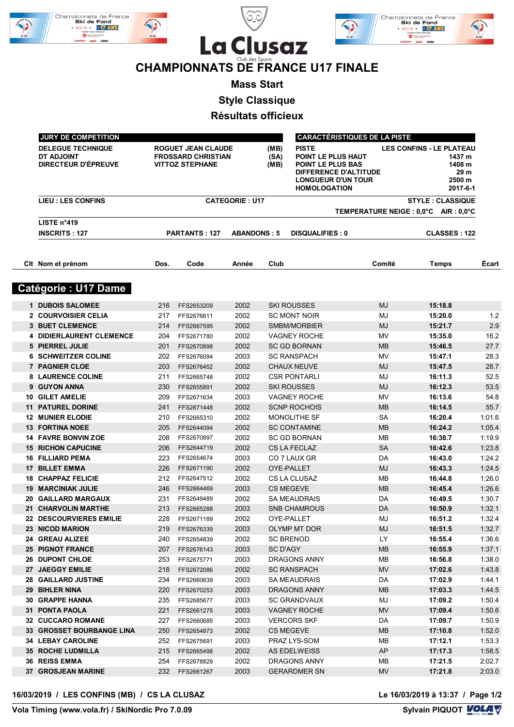





## **CHAMPIONNATS DE FRANCE U17 FINALE**

**Mass Start**

**Style Classique**

**Résultats officieux**

| <b>JURY DE COMPETITION</b>                                                  |      |                                                                                  |                    |                                                                                                                                                                                                               |                        | <b>CARACTÉRISTIQUES DE LA PISTE</b> |                                                |        |  |  |  |
|-----------------------------------------------------------------------------|------|----------------------------------------------------------------------------------|--------------------|---------------------------------------------------------------------------------------------------------------------------------------------------------------------------------------------------------------|------------------------|-------------------------------------|------------------------------------------------|--------|--|--|--|
| <b>DELEGUE TECHNIQUE</b><br><b>DT ADJOINT</b><br><b>DIRECTEUR D'ÉPREUVE</b> |      | <b>ROGUET JEAN CLAUDE</b><br><b>FROSSARD CHRISTIAN</b><br><b>VITTOZ STEPHANE</b> |                    | <b>LES CONFINS - LE PLATEAU</b><br>(MB)<br><b>PISTE</b><br>(SA)<br><b>POINT LE PLUS HAUT</b><br>POINT LE PLUS BAS<br>(MB)<br><b>DIFFERENCE D'ALTITUDE</b><br><b>LONGUEUR D'UN TOUR</b><br><b>HOMOLOGATION</b> |                        |                                     | 1437 m<br>1408 m<br>29 m<br>2500 m<br>2017-6-1 |        |  |  |  |
| <b>LIEU : LES CONFINS</b>                                                   |      | <b>CATEGORIE: U17</b><br><b>STYLE: CLASSIQUE</b>                                 |                    |                                                                                                                                                                                                               |                        |                                     |                                                |        |  |  |  |
| LISTE n°419                                                                 |      | TEMPERATURE NEIGE : 0,0°C AIR : 0,0°C                                            |                    |                                                                                                                                                                                                               |                        |                                     |                                                |        |  |  |  |
| <b>INSCRITS: 127</b>                                                        |      | <b>PARTANTS: 127</b>                                                             | <b>ABANDONS: 5</b> |                                                                                                                                                                                                               | <b>DISQUALIFIES: 0</b> |                                     | <b>CLASSES: 122</b>                            |        |  |  |  |
| CIt Nom et prénom                                                           | Dos. | Code                                                                             | Année              | Club                                                                                                                                                                                                          |                        | Comité                              | Temps                                          | Écart  |  |  |  |
| <b>Catégorie: U17 Dame</b>                                                  |      |                                                                                  |                    |                                                                                                                                                                                                               |                        |                                     |                                                |        |  |  |  |
| 1 DUBOIS SALOMEE                                                            | 216  | FFS2653209                                                                       | 2002               |                                                                                                                                                                                                               | <b>SKI ROUSSES</b>     | <b>MJ</b>                           | 15:18.8                                        |        |  |  |  |
| 2 COURVOISIER CELIA                                                         | 217  | FFS2676611                                                                       | 2002               |                                                                                                                                                                                                               | <b>SC MONT NOIR</b>    | MJ                                  | 15:20.0                                        | 1.2    |  |  |  |
| <b>3 BUET CLEMENCE</b>                                                      | 214  | FFS2667595                                                                       | 2002               |                                                                                                                                                                                                               | SMBM/MORBIER           | <b>MJ</b>                           | 15:21.7                                        | 2.9    |  |  |  |
| <b>4 DIDIERLAURENT CLEMENCE</b>                                             | 204  | FFS2671780                                                                       | 2002               |                                                                                                                                                                                                               | <b>VAGNEY ROCHE</b>    | MV                                  | 15:35.0                                        | 16.2   |  |  |  |
| <b>5 PIERREL JULIE</b>                                                      | 201  | FFS2670898                                                                       | 2002               |                                                                                                                                                                                                               | <b>SC GD BORNAN</b>    | <b>MB</b>                           | 15:46.5                                        | 27.7   |  |  |  |
| 6 SCHWEITZER COLINE                                                         | 202  | FFS2676094                                                                       | 2003               |                                                                                                                                                                                                               | <b>SC RANSPACH</b>     | MV                                  | 15:47.1                                        | 28.3   |  |  |  |
| <b>7 PAGNIER CLOE</b>                                                       | 203  | FFS2676452                                                                       | 2002               |                                                                                                                                                                                                               | <b>CHAUX NEUVE</b>     | <b>MJ</b>                           | 15:47.5                                        | 28.7   |  |  |  |
| <b>8 LAURENCE COLINE</b>                                                    | 211  | FFS2665748                                                                       | 2002               |                                                                                                                                                                                                               | <b>CSR PONTARLI</b>    | MJ                                  | 16:11.3                                        | 52.5   |  |  |  |
| 9 GUYON ANNA                                                                | 230  | FFS2655891                                                                       | 2002               |                                                                                                                                                                                                               | <b>SKI ROUSSES</b>     | <b>MJ</b>                           | 16:12.3                                        | 53.5   |  |  |  |
| <b>10 GILET AMELIE</b>                                                      | 209  | FFS2671634                                                                       | 2003               |                                                                                                                                                                                                               | <b>VAGNEY ROCHE</b>    | MV                                  | 16:13.6                                        | 54.8   |  |  |  |
| <b>11 PATUREL DORINE</b>                                                    | 241  | FFS2671448                                                                       | 2002               |                                                                                                                                                                                                               | <b>SCNP ROCHOIS</b>    | <b>MB</b>                           | 16:14.5                                        | 55.7   |  |  |  |
| <b>12 MUNIER ELODIE</b>                                                     | 210  | FFS2665310                                                                       | 2002               |                                                                                                                                                                                                               | <b>MONOLITHE SF</b>    | SА                                  | 16:20.4                                        | 1:01.6 |  |  |  |
| <b>13 FORTINA NOEE</b>                                                      | 205  | FFS2644094                                                                       | 2002               |                                                                                                                                                                                                               | <b>SC CONTAMINE</b>    | <b>MB</b>                           | 16:24.2                                        | 1:05.4 |  |  |  |
| <b>14 FAVRE BONVIN ZOE</b>                                                  | 208  | FFS2670897                                                                       | 2002               |                                                                                                                                                                                                               | <b>SC GD BORNAN</b>    | <b>MB</b>                           | 16:38.7                                        | 1:19.9 |  |  |  |
| <b>15 RICHON CAPUCINE</b>                                                   | 206  | FFS2644719                                                                       | 2002               |                                                                                                                                                                                                               | <b>CS LA FECLAZ</b>    | <b>SA</b>                           | 16:42.6                                        | 1:23.8 |  |  |  |
| <b>16 FILLIARD PEMA</b>                                                     | 223  | FFS2654674                                                                       | 2003               |                                                                                                                                                                                                               | CO 7 LAUX GR           | DA                                  | 16:43.0                                        | 1:24.2 |  |  |  |
| <b>17 BILLET EMMA</b>                                                       | 226  | FFS2671190                                                                       | 2002               |                                                                                                                                                                                                               | OYE-PALLET             | MJ                                  | 16:43.3                                        | 1:24.5 |  |  |  |
| <b>18 CHAPPAZ FELICIE</b>                                                   | 212  | FFS2647512                                                                       | 2002               |                                                                                                                                                                                                               | CS LA CLUSAZ           | <b>MB</b>                           | 16:44.8                                        | 1:26.0 |  |  |  |
| <b>19 MARCINIAK JULIE</b>                                                   | 246  | FFS2664469                                                                       | 2003               |                                                                                                                                                                                                               | <b>CS MEGEVE</b>       | <b>MB</b>                           | 16:45.4                                        | 1:26.6 |  |  |  |
| <b>20 GAILLARD MARGAUX</b>                                                  | 231  | FFS2649489                                                                       | 2002               |                                                                                                                                                                                                               | <b>SA MEAUDRAIS</b>    | DA                                  | 16:49.5                                        | 1:30.7 |  |  |  |
| 21 CHARVOLIN MARTHE                                                         | 213  | FFS2665288                                                                       | 2003               |                                                                                                                                                                                                               | <b>SNB CHAMROUS</b>    | DA                                  | 16:50.9                                        | 1:32.1 |  |  |  |
| <b>22 DESCOURVIERES EMILIE</b>                                              | 228  | FFS2671189                                                                       | 2002               |                                                                                                                                                                                                               | OYE-PALLET             | MJ                                  | 16:51.2                                        | 1:32.4 |  |  |  |
| 23 NICOD MARION                                                             | 219  | FFS2676339                                                                       | 2003               |                                                                                                                                                                                                               | OLYMP MT DOR           | MJ                                  | 16:51.5                                        | 1:32.7 |  |  |  |
| 24 GREAU ALIZEE                                                             | 240  | FFS2654839                                                                       | 2002               |                                                                                                                                                                                                               | <b>SC BRENOD</b>       | LY.                                 | 16:55.4                                        | 1:36.6 |  |  |  |
| <b>25 PIGNOT FRANCE</b>                                                     | 207  | FFS2676143                                                                       | 2003               | SC D'AGY                                                                                                                                                                                                      |                        | <b>MB</b>                           | 16:55.9                                        | 1:37.1 |  |  |  |
| <b>26 DUPONT CHLOE</b>                                                      | 253  | FFS2675771                                                                       | 2003               |                                                                                                                                                                                                               | DRAGONS ANNY           | MB                                  | 16:56.8                                        | 1:38.0 |  |  |  |
| 27 JAEGGY EMILIE                                                            | 218  | FFS2672086                                                                       | 2002               |                                                                                                                                                                                                               | <b>SC RANSPACH</b>     | <b>MV</b>                           | 17:02.6                                        | 1:43.8 |  |  |  |
| <b>28 GAILLARD JUSTINE</b>                                                  | 234  | FFS2660639                                                                       | 2003               |                                                                                                                                                                                                               | SA MEAUDRAIS           | DA                                  | 17:02.9                                        | 1:44.1 |  |  |  |
| 29 BIHLER NINA                                                              | 220  | FFS2670253                                                                       | 2003               |                                                                                                                                                                                                               | DRAGONS ANNY           | MВ                                  | 17:03.3                                        | 1:44.5 |  |  |  |
| 30 GRAPPE HANNA                                                             | 235  | FFS2685677                                                                       | 2003               |                                                                                                                                                                                                               | <b>SC GRANDVAUX</b>    | MJ                                  | 17:09.2                                        | 1:50.4 |  |  |  |
| 31 PONTA PAOLA                                                              | 221  | FFS2661275                                                                       | 2003               |                                                                                                                                                                                                               | <b>VAGNEY ROCHE</b>    | <b>MV</b>                           | 17:09.4                                        | 1:50.6 |  |  |  |
| 32 CUCCARO ROMANE                                                           | 227  | FFS2660685                                                                       | 2003               |                                                                                                                                                                                                               | <b>VERCORS SKF</b>     | DA                                  | 17:09.7                                        | 1:50.9 |  |  |  |
| 33 GROSSET BOURBANGE LINA                                                   | 250  | FFS2654873                                                                       | 2002               |                                                                                                                                                                                                               | CS MEGEVE              | <b>MB</b>                           | 17:10.8                                        | 1:52.0 |  |  |  |
| <b>34 LEBAY CAROLINE</b>                                                    | 252  | FFS2675691                                                                       | 2003               |                                                                                                                                                                                                               | PRAZ LYS-SOM           | MB                                  | 17:12.1                                        | 1:53.3 |  |  |  |
| <b>35 ROCHE LUDMILLA</b>                                                    | 215  | FFS2665498                                                                       | 2002               |                                                                                                                                                                                                               | AS EDELWEISS           | AP                                  | 17:17.3                                        | 1:58.5 |  |  |  |
| <b>36 REISS EMMA</b>                                                        | 254  | FFS2678829                                                                       | 2002               |                                                                                                                                                                                                               | DRAGONS ANNY           | MВ                                  | 17:21.5                                        | 2:02.7 |  |  |  |
| 37 GROSJEAN MARINE                                                          | 232  | FFS2661267                                                                       | 2003               |                                                                                                                                                                                                               | <b>GERARDMER SN</b>    | MV                                  | 17:21.8                                        | 2:03.0 |  |  |  |

**16/03/2019 / LES CONFINS (MB) / CS LA CLUSAZ Le 16/03/2019 à 13:37 / Page 1/2**

Le 16/03/2019 à 13:37 / Page 1/2<br>Sylvain PIQUOT **LOLA**